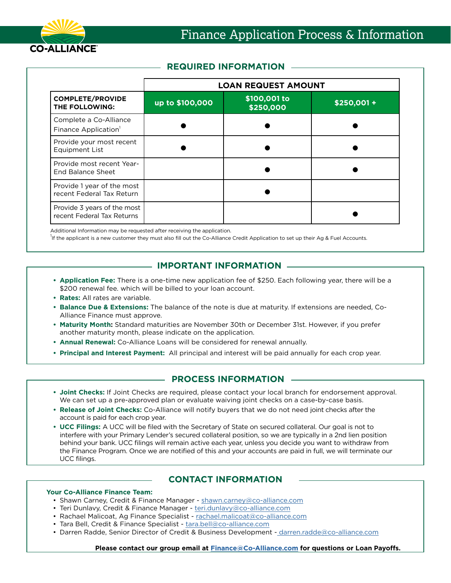

## **REQUIRED INFORMATION**

|                                                            | <b>LOAN REQUEST AMOUNT</b> |                           |            |  |  |  |  |
|------------------------------------------------------------|----------------------------|---------------------------|------------|--|--|--|--|
| <b>COMPLETE/PROVIDE</b><br>THE FOLLOWING:                  | up to \$100,000            | \$100,001 to<br>\$250,000 | \$250,001+ |  |  |  |  |
| Complete a Co-Alliance<br>Finance Application <sup>1</sup> |                            |                           |            |  |  |  |  |
| Provide your most recent<br>Equipment List                 |                            |                           |            |  |  |  |  |
| Provide most recent Year-<br><b>End Balance Sheet</b>      |                            |                           |            |  |  |  |  |
| Provide 1 year of the most<br>recent Federal Tax Return    |                            |                           |            |  |  |  |  |
| Provide 3 years of the most<br>recent Federal Tax Returns  |                            |                           |            |  |  |  |  |

Additional Information may be requested after receiving the application.

<sup>1</sup>If the applicant is a new customer they must also fill out the Co-Alliance Credit Application to set up their Ag & Fuel Accounts.

# **IMPORTANT INFORMATION**

- **• Application Fee:** There is a one-time new application fee of \$250. Each following year, there will be a \$200 renewal fee. which will be billed to your loan account.
- **• Rates:** All rates are variable.
- **• Balance Due & Extensions:** The balance of the note is due at maturity. If extensions are needed, Co-Alliance Finance must approve.
- **• Maturity Month:** Standard maturities are November 30th or December 31st. However, if you prefer another maturity month, please indicate on the application.
- **• Annual Renewal:** Co-Alliance Loans will be considered for renewal annually.
- **• Principal and Interest Payment:** All principal and interest will be paid annually for each crop year.

## **PROCESS INFORMATION**

- **• Joint Checks:** If Joint Checks are required, please contact your local branch for endorsement approval. We can set up a pre-approved plan or evaluate waiving joint checks on a case-by-case basis.
- **• Release of Joint Checks:** Co-Alliance will notify buyers that we do not need joint checks after the account is paid for each crop year.
- **• UCC Filings:** A UCC will be filed with the Secretary of State on secured collateral. Our goal is not to interfere with your Primary Lender's secured collateral position, so we are typically in a 2nd lien position behind your bank. UCC filings will remain active each year, unless you decide you want to withdraw from the Finance Program. Once we are notified of this and your accounts are paid in full, we will terminate our UCC filings.

## **CONTACT INFORMATION**

#### **Your Co-Alliance Finance Team:**

- Shawn Carney, Credit & Finance Manager - [shawn.carney@co-alliance.com](mailto:shawn.carney%40co-alliance.com?subject=)
- Teri Dunlavy, Credit & Finance Manager - [teri.dunlavy@co-alliance.com](mailto:teri.dunlavy%40co-alliance.com?subject=)
- Rachael Malicoat, Ag Finance Specialist - [rachael.malicoat@co-alliance.com](mailto:rachael.malicoat%40co-alliance.com?subject=)
- Tara Bell, Credit & Finance Specialist - [tara.bell@co-alliance.com](mailto:tara.bell%40co-alliance.com?subject=)
- Darren Radde, Senior Director of Credit & Business Development  [darren.radde@co-alliance.com](mailto:%20darren.radde%40co-alliance.com?subject=)

**Please contact our group email at [Finance@Co-Alliance.com](mailto:Finance%40Co-Alliance.com?subject=) for questions or Loan Payoffs.**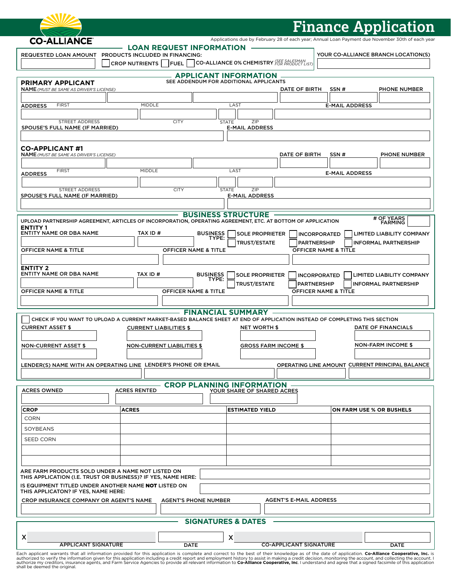|                                                                                                                                |                                                                                             |                                                                        |                                                       | <b>Finance Application</b>                                                                                                                                                                       |  |
|--------------------------------------------------------------------------------------------------------------------------------|---------------------------------------------------------------------------------------------|------------------------------------------------------------------------|-------------------------------------------------------|--------------------------------------------------------------------------------------------------------------------------------------------------------------------------------------------------|--|
| <b>CO-ALLIANCE</b>                                                                                                             |                                                                                             |                                                                        |                                                       | Applications due by February 28 of each year; Annual Loan Payment due November 30th of each year                                                                                                 |  |
| REQUESTED LOAN AMOUNT                                                                                                          | <b>LOAN REQUEST INFORMATION</b><br>PRODUCTS INCLUDED IN FINANCING:<br>CROP NUTRIENTS   FUEL | CO-ALLIANCE 0% CHEMISTRY FOR PRODUCT LISTI                             |                                                       | YOUR CO-ALLIANCE BRANCH LOCATION(S)                                                                                                                                                              |  |
|                                                                                                                                |                                                                                             | <b>APPLICANT INFORMATION</b><br>SEE ADDENDUM FOR ADDITIONAL APPLICANTS |                                                       |                                                                                                                                                                                                  |  |
| <b>PRIMARY APPLICANT</b><br><b>NAME</b> (MUST BE SAME AS DRIVER'S LICENSE)                                                     |                                                                                             |                                                                        | DATE OF BIRTH                                         | SSN#<br><b>PHONE NUMBER</b>                                                                                                                                                                      |  |
| <b>FIRST</b><br><b>ADDRESS</b>                                                                                                 | MIDDLE                                                                                      | LAST                                                                   |                                                       | <b>E-MAIL ADDRESS</b>                                                                                                                                                                            |  |
|                                                                                                                                |                                                                                             |                                                                        |                                                       |                                                                                                                                                                                                  |  |
| STREET ADDRESS<br>SPOUSE'S FULL NAME (IF MARRIED)                                                                              | <b>CITY</b>                                                                                 | <b>STATE</b><br>ZIP<br><b>E-MAIL ADDRESS</b>                           |                                                       |                                                                                                                                                                                                  |  |
|                                                                                                                                |                                                                                             |                                                                        |                                                       |                                                                                                                                                                                                  |  |
| <b>CO-APPLICANT#1</b><br><b>NAME</b> (MUST BE SAME AS DRIVER'S LICENSE)                                                        |                                                                                             |                                                                        | DATE OF BIRTH                                         | PHONE NUMBER<br>SSN#                                                                                                                                                                             |  |
|                                                                                                                                |                                                                                             |                                                                        |                                                       |                                                                                                                                                                                                  |  |
| <b>FIRST</b><br><b>ADDRESS</b>                                                                                                 | <b>MIDDLE</b>                                                                               | LAST                                                                   |                                                       | <b>E-MAIL ADDRESS</b>                                                                                                                                                                            |  |
| <b>STREET ADDRESS</b>                                                                                                          | <b>CITY</b>                                                                                 | <b>STATE</b><br>ZIP                                                    |                                                       |                                                                                                                                                                                                  |  |
| SPOUSE'S FULL NAME (IF MARRIED)                                                                                                |                                                                                             | <b>E-MAIL ADDRESS</b>                                                  |                                                       |                                                                                                                                                                                                  |  |
|                                                                                                                                |                                                                                             | <b>BUSINESS STRUCTURE</b>                                              |                                                       |                                                                                                                                                                                                  |  |
| UPLOAD PARTNERSHIP AGREEMENT, ARTICLES OF INCORPORATION, OPERATING AGREEMENT, ETC. AT BOTTOM OF APPLICATION<br><b>ENTITY 1</b> |                                                                                             |                                                                        |                                                       | # OF YEARS<br>FARMING                                                                                                                                                                            |  |
| <b>ENTITY NAME OR DBA NAME</b>                                                                                                 | TAX ID#                                                                                     | <b>BUSINESS</b><br><b>SOLE PROPRIETER</b><br>TYPE:                     | <b>INCORPORATED</b>                                   | <b>LIMITED LIABILITY COMPANY</b>                                                                                                                                                                 |  |
| <b>OFFICER NAME &amp; TITLE</b>                                                                                                | <b>OFFICER NAME &amp; TITLE</b>                                                             | <b>TRUST/ESTATE</b>                                                    | <b>PARTNERSHIP</b><br><b>OFFICER NAME &amp; TITLE</b> | <b>INFORMAL PARTNERSHIP</b>                                                                                                                                                                      |  |
|                                                                                                                                |                                                                                             |                                                                        |                                                       |                                                                                                                                                                                                  |  |
| <b>ENTITY 2</b><br><b>ENTITY NAME OR DBA NAME</b>                                                                              | TAX ID #                                                                                    | <b>BUSINESS</b><br><b>SOLE PROPRIETER</b>                              | <b>INCORPORATED</b>                                   | <b>LIMITED LIABILITY COMPANY</b>                                                                                                                                                                 |  |
|                                                                                                                                |                                                                                             | TYPE:<br><b>TRUST/ESTATE</b>                                           | <b>PARTNERSHIP</b>                                    | <b>INFORMAL PARTNERSHIP</b>                                                                                                                                                                      |  |
| <b>OFFICER NAME &amp; TITLE</b>                                                                                                | <b>OFFICER NAME &amp; TITLE</b>                                                             |                                                                        | <b>OFFICER NAME &amp; TITLE</b>                       |                                                                                                                                                                                                  |  |
|                                                                                                                                |                                                                                             |                                                                        |                                                       |                                                                                                                                                                                                  |  |
| CHECK IF YOU WANT TO UPLOAD A CURRENT MARKET-BASED BALANCE SHEET AT END OF APPLICATION INSTEAD OF COMPLETING THIS SECTION      |                                                                                             | <b>FINANCIAL SUMMARY</b>                                               |                                                       |                                                                                                                                                                                                  |  |
| <b>CURRENT ASSET \$</b>                                                                                                        | <b>CURRENT LIABILITIES \$</b>                                                               | <b>NET WORTH \$</b>                                                    |                                                       | <b>DATE OF FINANCIALS</b>                                                                                                                                                                        |  |
| <b>NON-CURRENT ASSET \$</b>                                                                                                    | <b>NON-CURRENT LIABILITIES \$</b>                                                           |                                                                        | <b>GROSS FARM INCOME \$</b>                           | <b>NON-FARM INCOME \$</b>                                                                                                                                                                        |  |
|                                                                                                                                |                                                                                             |                                                                        |                                                       |                                                                                                                                                                                                  |  |
| LENDER(S) NAME WITH AN OPERATING LINE LENDER'S PHONE OR EMAIL                                                                  |                                                                                             |                                                                        |                                                       | OPERATING LINE AMOUNT CURRENT PRINCIPAL BALANCE                                                                                                                                                  |  |
|                                                                                                                                |                                                                                             |                                                                        |                                                       |                                                                                                                                                                                                  |  |
| <b>ACRES OWNED</b>                                                                                                             | <b>ACRES RENTED</b>                                                                         | <b>CROP PLANNING INFORMATION</b><br>YOUR SHARE OF SHARED ACRES         |                                                       |                                                                                                                                                                                                  |  |
| <b>CROP</b>                                                                                                                    | <b>ACRES</b>                                                                                | <b>ESTIMATED YIELD</b>                                                 |                                                       | ON FARM USE % OR BUSHELS                                                                                                                                                                         |  |
| <b>CORN</b>                                                                                                                    |                                                                                             |                                                                        |                                                       |                                                                                                                                                                                                  |  |
| SOYBEANS                                                                                                                       |                                                                                             |                                                                        |                                                       |                                                                                                                                                                                                  |  |
| SEED CORN                                                                                                                      |                                                                                             |                                                                        |                                                       |                                                                                                                                                                                                  |  |
|                                                                                                                                |                                                                                             |                                                                        |                                                       |                                                                                                                                                                                                  |  |
| ARE FARM PRODUCTS SOLD UNDER A NAME NOT LISTED ON                                                                              |                                                                                             |                                                                        |                                                       |                                                                                                                                                                                                  |  |
| THIS APPLICATION (I.E. TRUST OR BUSINESS)? IF YES, NAME HERE:<br>IS EQUIPMENT TITLED UNDER ANOTHER NAME NOT LISTED ON          |                                                                                             |                                                                        |                                                       |                                                                                                                                                                                                  |  |
| THIS APPLICATON? IF YES, NAME HERE:                                                                                            |                                                                                             |                                                                        |                                                       |                                                                                                                                                                                                  |  |
| CROP INSURANCE COMPANY OR AGENT'S NAME<br><b>AGENT'S PHONE NUMBER</b><br><b>AGENT'S E-MAIL ADDRESS</b>                         |                                                                                             |                                                                        |                                                       |                                                                                                                                                                                                  |  |
| <b>SIGNATURES &amp; DATES</b>                                                                                                  |                                                                                             |                                                                        |                                                       |                                                                                                                                                                                                  |  |
|                                                                                                                                |                                                                                             |                                                                        |                                                       |                                                                                                                                                                                                  |  |
| X<br><b>APPLICANT SIGNATURE</b>                                                                                                | <b>DATE</b>                                                                                 | $\pmb{\times}$                                                         | <b>CO-APPLICANT SIGNATURE</b>                         | DATE                                                                                                                                                                                             |  |
|                                                                                                                                |                                                                                             |                                                                        |                                                       | Each applicant warrants that all information provided for this application is complete and correct to the best of their knowledge as of the date of application Co-Alliance Cooperative. Inc. is |  |

Each applicant warrants that all information provided for this application is complete and correct to the best of their knowledge as of the date of application. **Co-Alliance Cooperative, Inc.** is authorized to verify the i